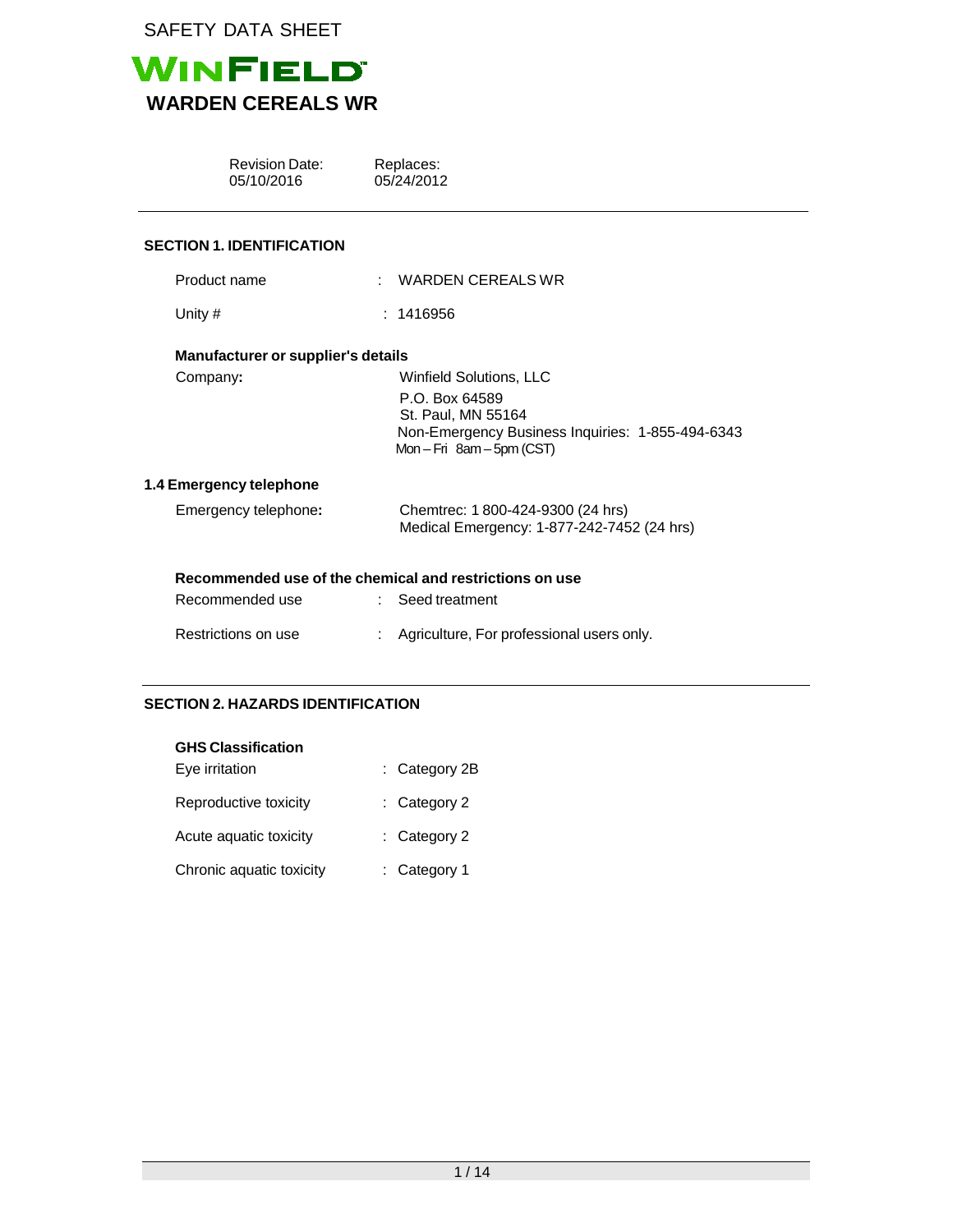

|           | <b>Revision Date:</b><br>05/10/2016 | Replaces:<br>05/24/2012                                                                                                                             |
|-----------|-------------------------------------|-----------------------------------------------------------------------------------------------------------------------------------------------------|
|           | <b>SECTION 1. IDENTIFICATION</b>    |                                                                                                                                                     |
|           | Product name                        | WARDEN CEREALS WR                                                                                                                                   |
| Unity $#$ |                                     | : 1416956                                                                                                                                           |
|           | Manufacturer or supplier's details  |                                                                                                                                                     |
| Company:  |                                     | <b>Winfield Solutions, LLC</b><br>P.O. Box 64589<br>St. Paul, MN 55164<br>Non-Emergency Business Inquiries: 1-855-494-6343<br>Mon-Fri 8am-5pm (CST) |
|           | 1.4 Emergency telephone             |                                                                                                                                                     |
|           | Emergency telephone:                | Chemtrec: 1800-424-9300 (24 hrs)<br>Medical Emergency: 1-877-242-7452 (24 hrs)                                                                      |
|           | Recommended use                     | Recommended use of the chemical and restrictions on use<br>Seed treatment                                                                           |
|           | Restrictions on use                 | Agriculture, For professional users only.                                                                                                           |

# **SECTION 2. HAZARDS IDENTIFICATION**

| <b>GHS Classification</b> |                 |
|---------------------------|-----------------|
| Eye irritation            | $:$ Category 2B |
| Reproductive toxicity     | : Category 2    |
| Acute aquatic toxicity    | : Category 2    |
| Chronic aquatic toxicity  | : Category 1    |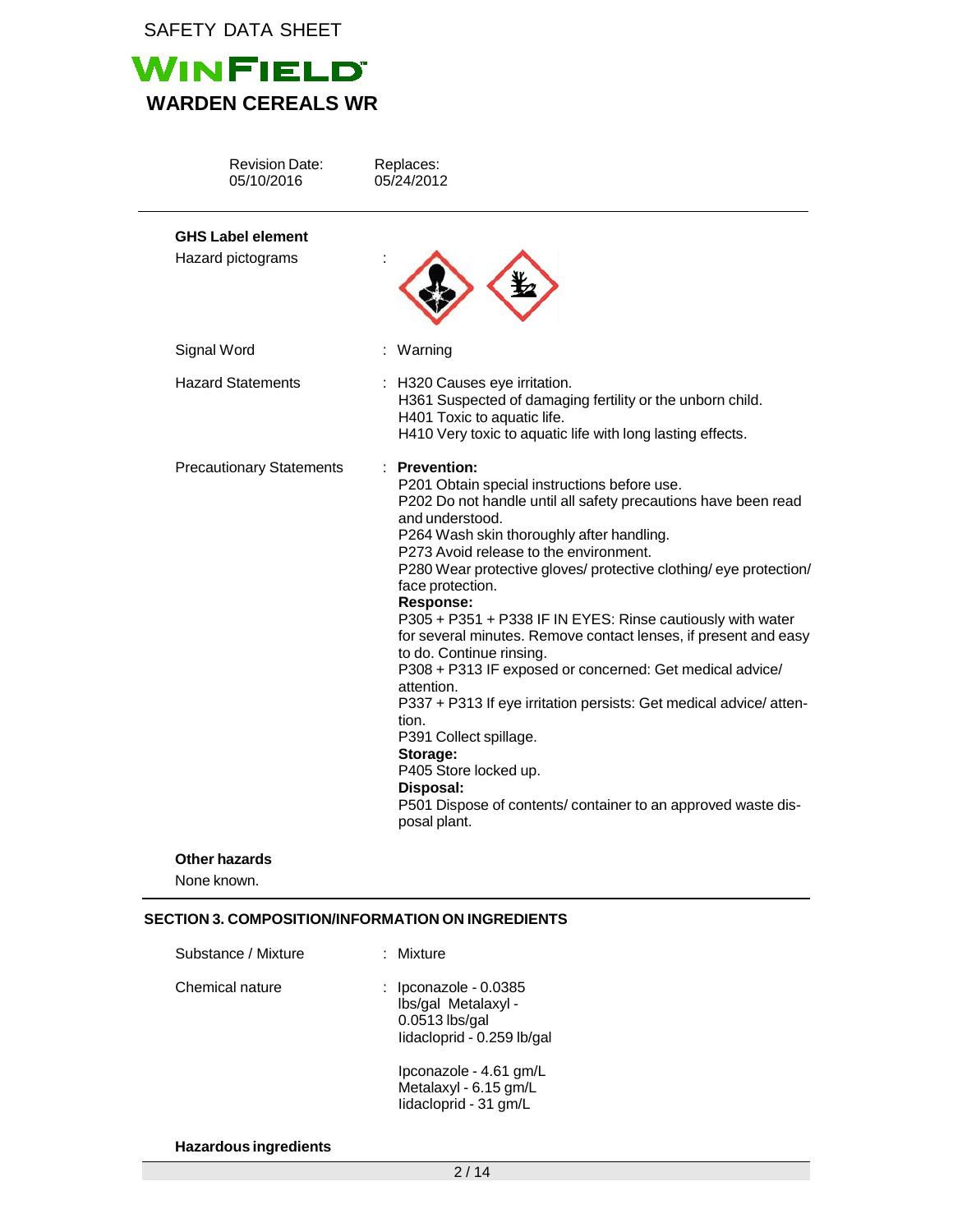

| <b>Revision Date:</b><br>05/10/2016 | Replaces:<br>05/24/2012                                                                                                                                                                                                                                                                                                                                                                                                                                                                                                                                                                                                                                                                                                                                                                                                           |
|-------------------------------------|-----------------------------------------------------------------------------------------------------------------------------------------------------------------------------------------------------------------------------------------------------------------------------------------------------------------------------------------------------------------------------------------------------------------------------------------------------------------------------------------------------------------------------------------------------------------------------------------------------------------------------------------------------------------------------------------------------------------------------------------------------------------------------------------------------------------------------------|
| <b>GHS Label element</b>            |                                                                                                                                                                                                                                                                                                                                                                                                                                                                                                                                                                                                                                                                                                                                                                                                                                   |
| Hazard pictograms                   |                                                                                                                                                                                                                                                                                                                                                                                                                                                                                                                                                                                                                                                                                                                                                                                                                                   |
| Signal Word                         | Warning                                                                                                                                                                                                                                                                                                                                                                                                                                                                                                                                                                                                                                                                                                                                                                                                                           |
| <b>Hazard Statements</b>            | : H320 Causes eye irritation.<br>H361 Suspected of damaging fertility or the unborn child.<br>H401 Toxic to aquatic life.<br>H410 Very toxic to aquatic life with long lasting effects.                                                                                                                                                                                                                                                                                                                                                                                                                                                                                                                                                                                                                                           |
| <b>Precautionary Statements</b>     | : Prevention:<br>P201 Obtain special instructions before use.<br>P202 Do not handle until all safety precautions have been read<br>and understood.<br>P264 Wash skin thoroughly after handling.<br>P273 Avoid release to the environment.<br>P280 Wear protective gloves/ protective clothing/ eye protection/<br>face protection.<br>Response:<br>P305 + P351 + P338 IF IN EYES: Rinse cautiously with water<br>for several minutes. Remove contact lenses, if present and easy<br>to do. Continue rinsing.<br>P308 + P313 IF exposed or concerned: Get medical advice/<br>attention.<br>P337 + P313 If eye irritation persists: Get medical advice/atten-<br>tion.<br>P391 Collect spillage.<br>Storage:<br>P405 Store locked up.<br>Disposal:<br>P501 Dispose of contents/ container to an approved waste dis-<br>posal plant. |

## **Other hazards**

None known.

# **SECTION 3. COMPOSITION/INFORMATION ON INGREDIENTS**

| Substance / Mixture | : Mixture                                                                                        |
|---------------------|--------------------------------------------------------------------------------------------------|
| Chemical nature     | : $Ipconazole - 0.0385$<br>Ibs/gal Metalaxyl -<br>$0.0513$ lbs/gal<br>lidacloprid - 0.259 lb/gal |
|                     | lpconazole - 4.61 gm/L<br>Metalaxyl - 6.15 gm/L<br>lidacloprid - 31 gm/L                         |

**Hazardous ingredients**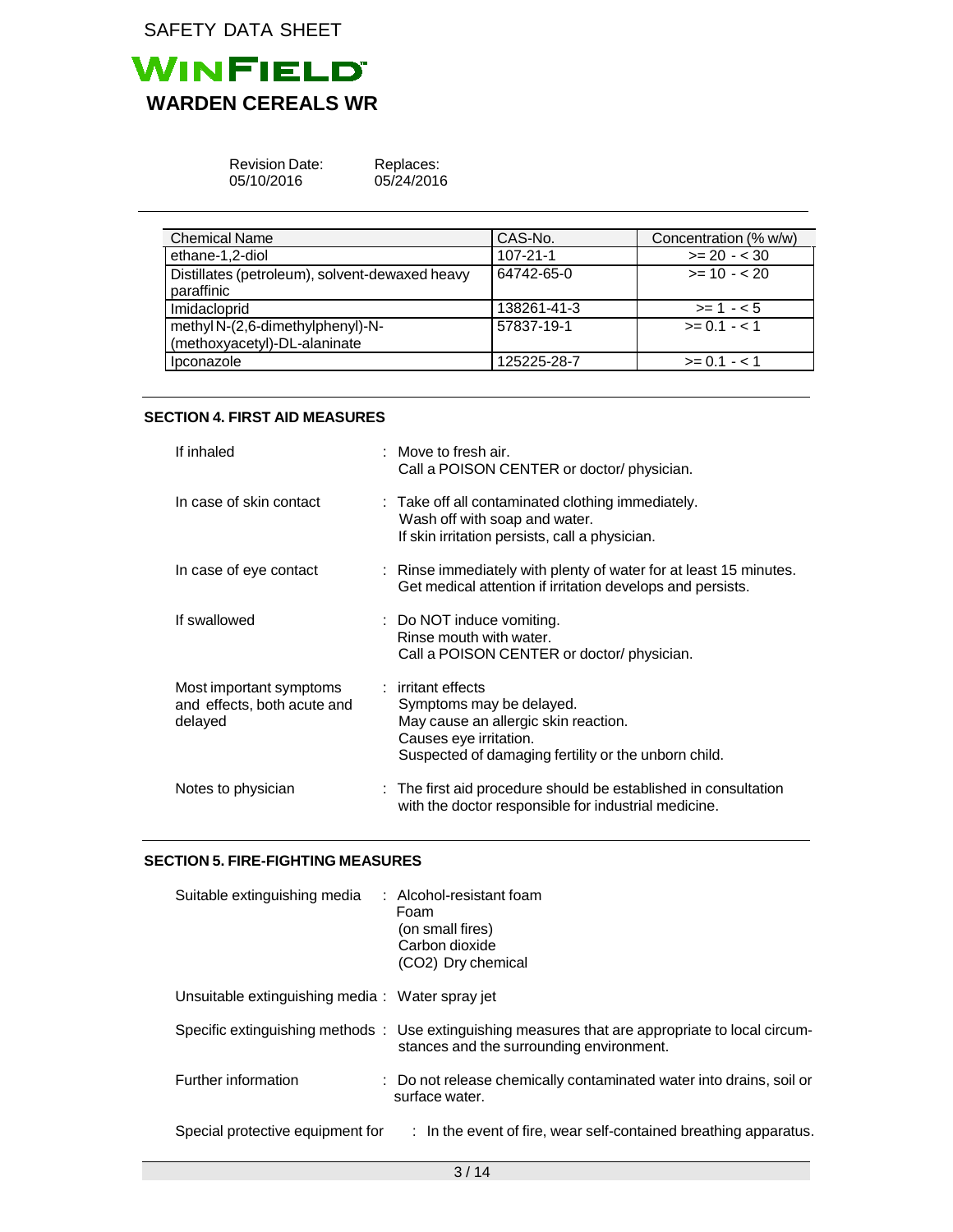

| <b>Revision Date:</b> |
|-----------------------|
| 05/10/2016            |

Replaces: 05/24/2016

| <b>Chemical Name</b>                                             | CAS-No.        | Concentration (% w/w) |
|------------------------------------------------------------------|----------------|-----------------------|
| ethane-1,2-diol                                                  | $107 - 21 - 1$ | $>= 20 - 30$          |
| Distillates (petroleum), solvent-dewaxed heavy<br>paraffinic     | 64742-65-0     | $>= 10 - 20$          |
| Imidacloprid                                                     | 138261-41-3    | $>= 1 - 5$            |
| methyl N-(2,6-dimethylphenyl)-N-<br>(methoxyacetyl)-DL-alaninate | 57837-19-1     | $>= 0.1 - 1.1$        |
| Ipconazole                                                       | 125225-28-7    | $>= 0.1 - 1.1$        |

## **SECTION 4. FIRST AID MEASURES**

| If inhaled                                                        | $:$ Move to fresh air.<br>Call a POISON CENTER or doctor/ physician.                                                                                                     |
|-------------------------------------------------------------------|--------------------------------------------------------------------------------------------------------------------------------------------------------------------------|
| In case of skin contact                                           | : Take off all contaminated clothing immediately.<br>Wash off with soap and water.<br>If skin irritation persists, call a physician.                                     |
| In case of eye contact                                            | : Rinse immediately with plenty of water for at least 15 minutes.<br>Get medical attention if irritation develops and persists.                                          |
| If swallowed                                                      | : Do NOT induce vomiting.<br>Rinse mouth with water.<br>Call a POISON CENTER or doctor/ physician.                                                                       |
| Most important symptoms<br>and effects, both acute and<br>delayed | : irritant effects<br>Symptoms may be delayed.<br>May cause an allergic skin reaction.<br>Causes eye irritation.<br>Suspected of damaging fertility or the unborn child. |
| Notes to physician                                                | : The first aid procedure should be established in consultation<br>with the doctor responsible for industrial medicine.                                                  |

### **SECTION 5. FIRE-FIGHTING MEASURES**

| Suitable extinguishing media                    | $:$ Alcohol-resistant foam<br>Foam<br>(on small fires)<br>Carbon dioxide<br>(CO2) Dry chemical                                                |
|-------------------------------------------------|-----------------------------------------------------------------------------------------------------------------------------------------------|
| Unsuitable extinguishing media: Water spray jet |                                                                                                                                               |
|                                                 | Specific extinguishing methods : Use extinguishing measures that are appropriate to local circum-<br>stances and the surrounding environment. |
| Further information                             | : Do not release chemically contaminated water into drains, soil or<br>surface water.                                                         |
| Special protective equipment for                | $\therefore$ In the event of fire, wear self-contained breathing apparatus.                                                                   |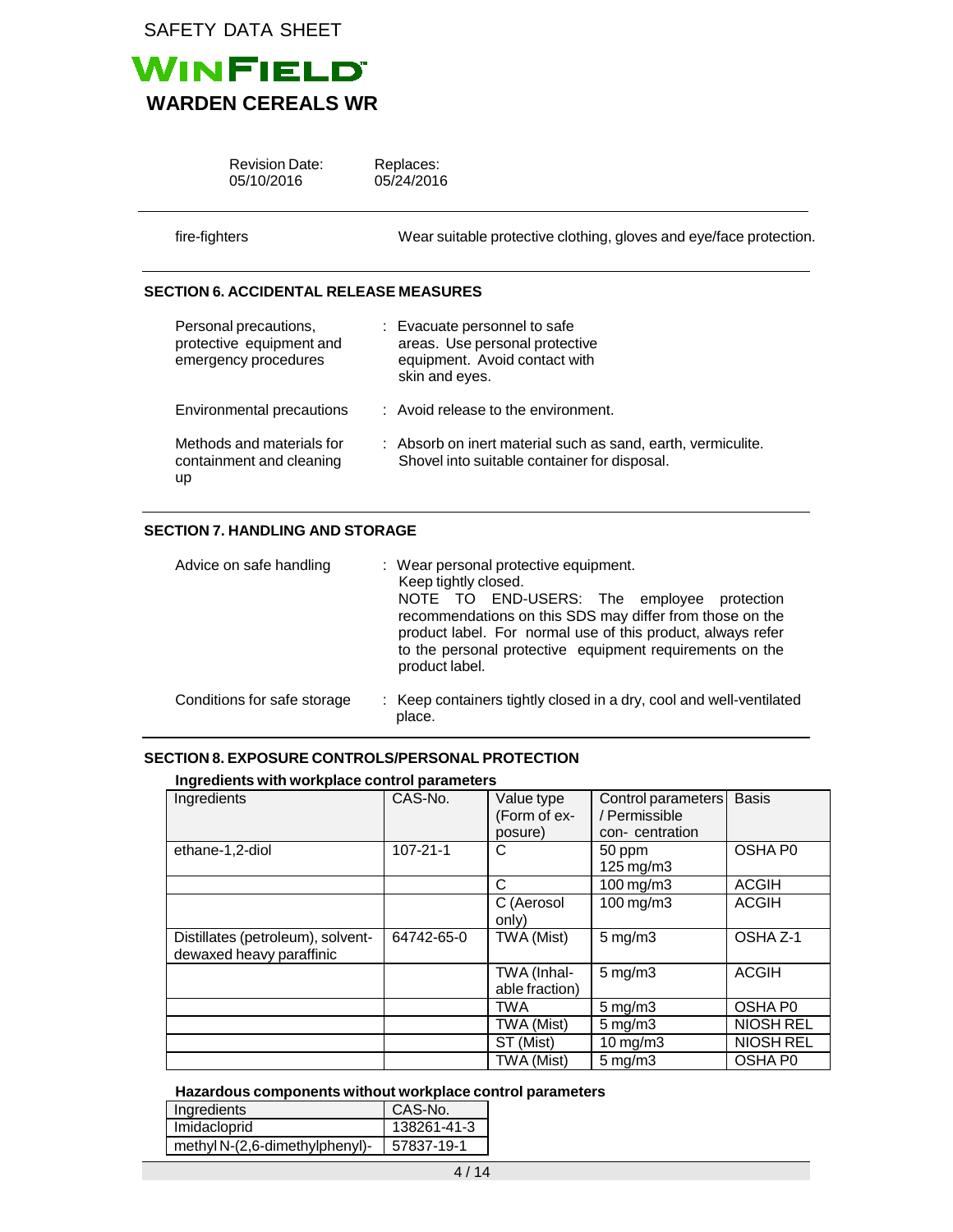

| <b>Revision Date:</b><br>05/10/2016                                       | Replaces:<br>05/24/2016                                                                                           |
|---------------------------------------------------------------------------|-------------------------------------------------------------------------------------------------------------------|
| fire-fighters                                                             | Wear suitable protective clothing, gloves and eye/face protection.                                                |
| <b>SECTION 6. ACCIDENTAL RELEASE MEASURES</b>                             |                                                                                                                   |
| Personal precautions,<br>protective equipment and<br>emergency procedures | : Evacuate personnel to safe<br>areas. Use personal protective<br>equipment. Avoid contact with<br>skin and eyes. |
| <b>Environmental precautions</b>                                          | : Avoid release to the environment.                                                                               |

| Methods and materials for | : Absorb on inert material such as sand, earth, vermiculite. |
|---------------------------|--------------------------------------------------------------|
| containment and cleaning  | Shovel into suitable container for disposal.                 |
| up                        |                                                              |

# **SECTION 7. HANDLING AND STORAGE**

| Advice on safe handling     | : Wear personal protective equipment.<br>Keep tightly closed.<br>NOTE TO END-USERS: The employee<br>protection<br>recommendations on this SDS may differ from those on the<br>product label. For normal use of this product, always refer<br>to the personal protective equipment requirements on the<br>product label. |
|-----------------------------|-------------------------------------------------------------------------------------------------------------------------------------------------------------------------------------------------------------------------------------------------------------------------------------------------------------------------|
| Conditions for safe storage | : Keep containers tightly closed in a dry, cool and well-ventilated<br>place.                                                                                                                                                                                                                                           |

## **SECTION 8. EXPOSURE CONTROLS/PERSONAL PROTECTION**

## **Ingredients with workplace control parameters**

| Ingredients                                                   | CAS-No.        | Value type<br>(Form of ex-<br>posure) | Control parameters<br>/ Permissible<br>con-centration | <b>Basis</b>     |
|---------------------------------------------------------------|----------------|---------------------------------------|-------------------------------------------------------|------------------|
| ethane-1,2-diol                                               | $107 - 21 - 1$ | C                                     | 50 ppm<br>$125 \,\mathrm{mg/m3}$                      | OSHA P0          |
|                                                               |                | C                                     | 100 mg/m3                                             | <b>ACGIH</b>     |
|                                                               |                | C (Aerosol<br>only)                   | 100 mg/m3                                             | <b>ACGIH</b>     |
| Distillates (petroleum), solvent-<br>dewaxed heavy paraffinic | 64742-65-0     | TWA (Mist)                            | $5$ mg/m $3$                                          | OSHA Z-1         |
|                                                               |                | TWA (Inhal-<br>able fraction)         | $5 \text{ mg/m}$ 3                                    | <b>ACGIH</b>     |
|                                                               |                | <b>TWA</b>                            | $5$ mg/m $3$                                          | OSHA P0          |
|                                                               |                | TWA (Mist)                            | $5 \text{ mg/m}$ 3                                    | NIOSH REL        |
|                                                               |                | ST (Mist)                             | $10$ mg/m $3$                                         | <b>NIOSH REL</b> |
|                                                               |                | TWA (Mist)                            | $5 \text{ mg/m}$                                      | OSHA P0          |

## **Hazardous components without workplace control parameters**

| Ingredients                    | CAS-No.     |
|--------------------------------|-------------|
| Imidacloprid                   | 138261-41-3 |
| methyl N-(2,6-dimethylphenyl)- | 57837-19-1  |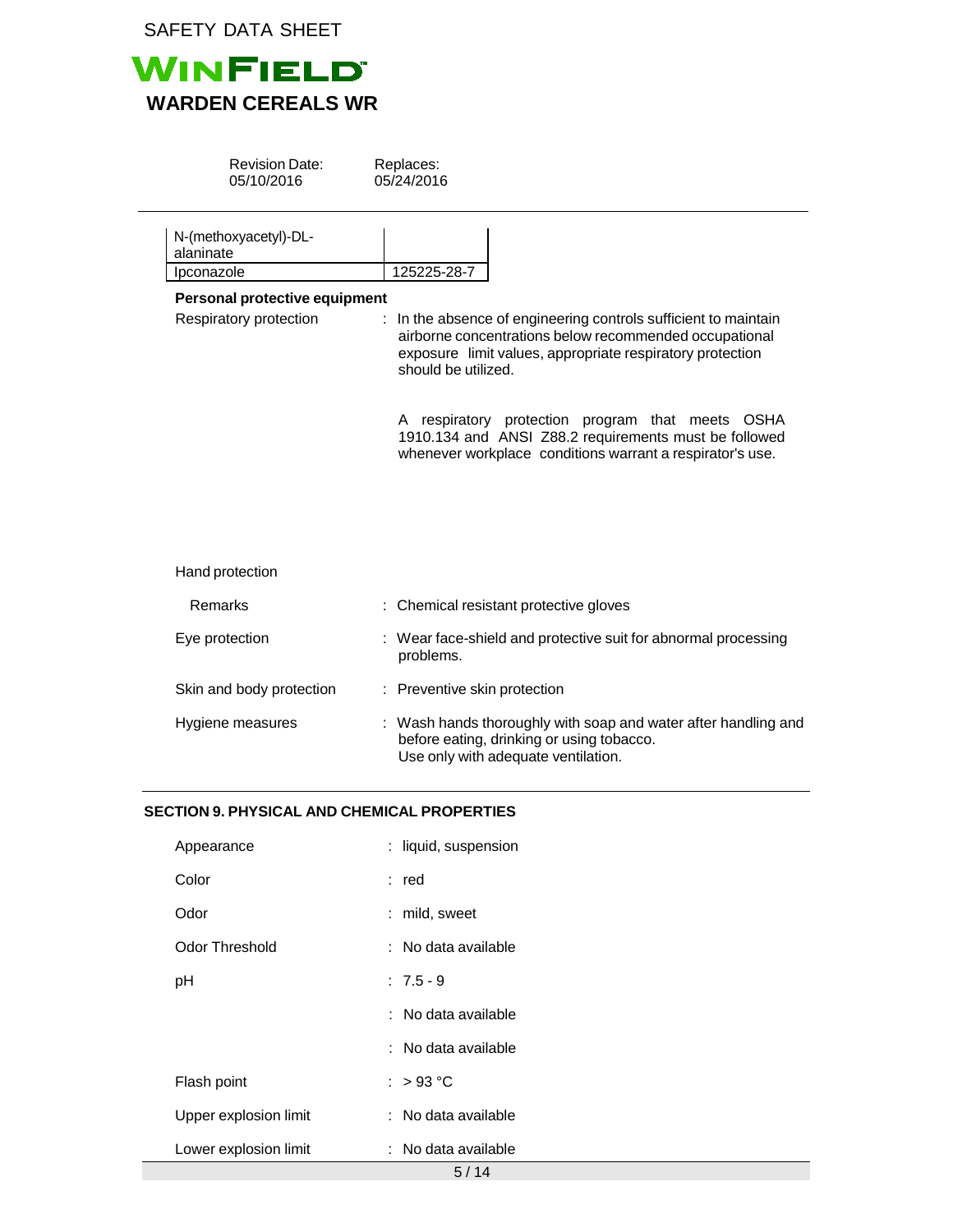

| <b>Revision Date:</b><br>05/10/2016                     | Replaces:<br>05/24/2016                                                                                                                                                                                       |
|---------------------------------------------------------|---------------------------------------------------------------------------------------------------------------------------------------------------------------------------------------------------------------|
| N-(methoxyacetyl)-DL-<br>alaninate                      |                                                                                                                                                                                                               |
| Ipconazole                                              | 125225-28-7                                                                                                                                                                                                   |
| Personal protective equipment<br>Respiratory protection | : In the absence of engineering controls sufficient to maintain<br>airborne concentrations below recommended occupational<br>exposure limit values, appropriate respiratory protection<br>should be utilized. |
|                                                         | A respiratory protection program that meets OSHA<br>1910.134 and ANSI Z88.2 requirements must be followed<br>whenever workplace conditions warrant a respirator's use.                                        |
| Hand protection                                         |                                                                                                                                                                                                               |
| Remarks                                                 | : Chemical resistant protective gloves                                                                                                                                                                        |
| Eye protection                                          | Wear face-shield and protective suit for abnormal processing<br>problems.                                                                                                                                     |
| Skin and body protection                                | : Preventive skin protection                                                                                                                                                                                  |
| Hygiene measures                                        | : Wash hands thoroughly with soap and water after handling and<br>before eating, drinking or using tobacco.<br>Use only with adequate ventilation.                                                            |

# **SECTION 9. PHYSICAL AND CHEMICAL PROPERTIES**

 $\overline{\phantom{a}}$ 

| Appearance            | : liquid, suspension |
|-----------------------|----------------------|
| Color                 | : red                |
| Odor                  | : mild, sweet        |
| Odor Threshold        | : No data available  |
| рH                    | $: 7.5 - 9$          |
|                       | : No data available  |
|                       | : No data available  |
| Flash point           | : $>93^{\circ}$ C    |
| Upper explosion limit | : No data available  |
| Lower explosion limit | : No data available  |
|                       | 5/14                 |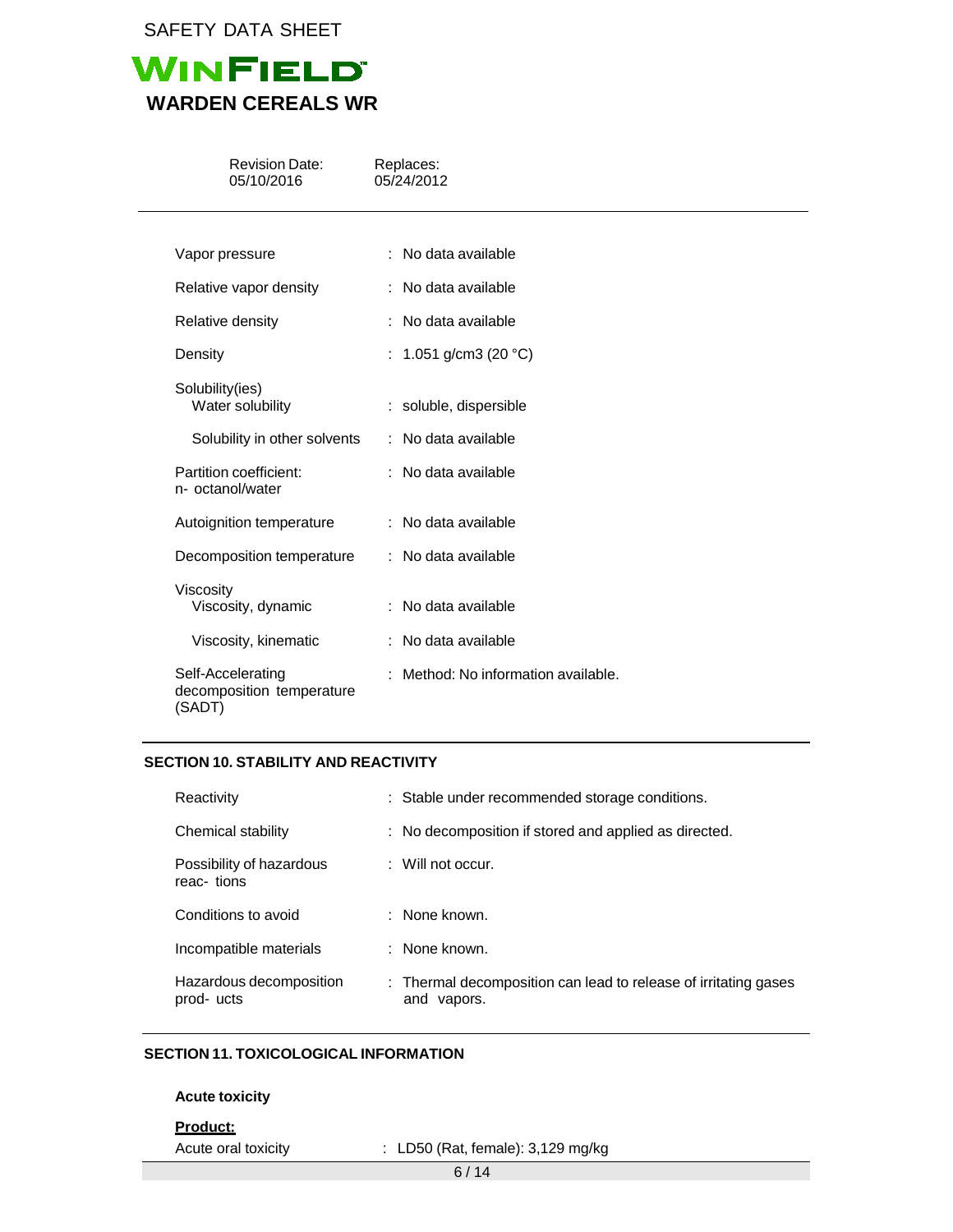

| <b>Revision Date:</b><br>05/10/2016                      | Replaces:<br>05/24/2012             |
|----------------------------------------------------------|-------------------------------------|
|                                                          |                                     |
| Vapor pressure                                           | : No data available                 |
| Relative vapor density                                   | : No data available                 |
| Relative density                                         | : No data available                 |
| Density                                                  | : 1.051 g/cm3 (20 $^{\circ}$ C)     |
| Solubility(ies)<br>Water solubility                      | : soluble, dispersible              |
| Solubility in other solvents                             | : No data available                 |
| Partition coefficient:<br>n- octanol/water               | : No data available                 |
| Autoignition temperature                                 | : No data available                 |
| Decomposition temperature                                | : No data available                 |
| Viscosity<br>Viscosity, dynamic                          | : No data available                 |
| Viscosity, kinematic                                     | : No data available                 |
| Self-Accelerating<br>decomposition temperature<br>(SADT) | : Method: No information available. |

## **SECTION 10. STABILITY AND REACTIVITY**

| Reactivity                             | : Stable under recommended storage conditions.                                    |
|----------------------------------------|-----------------------------------------------------------------------------------|
| Chemical stability                     | : No decomposition if stored and applied as directed.                             |
| Possibility of hazardous<br>reac-tions | $\therefore$ Will not occur.                                                      |
| Conditions to avoid                    | : None known.                                                                     |
| Incompatible materials                 | : None known.                                                                     |
| Hazardous decomposition<br>prod-ucts   | : Thermal decomposition can lead to release of irritating gases<br>vapors.<br>and |

# **SECTION 11. TOXICOLOGICAL INFORMATION**

## **Acute toxicity**

**Product:**

Acute oral toxicity : LD50 (Rat, female): 3,129 mg/kg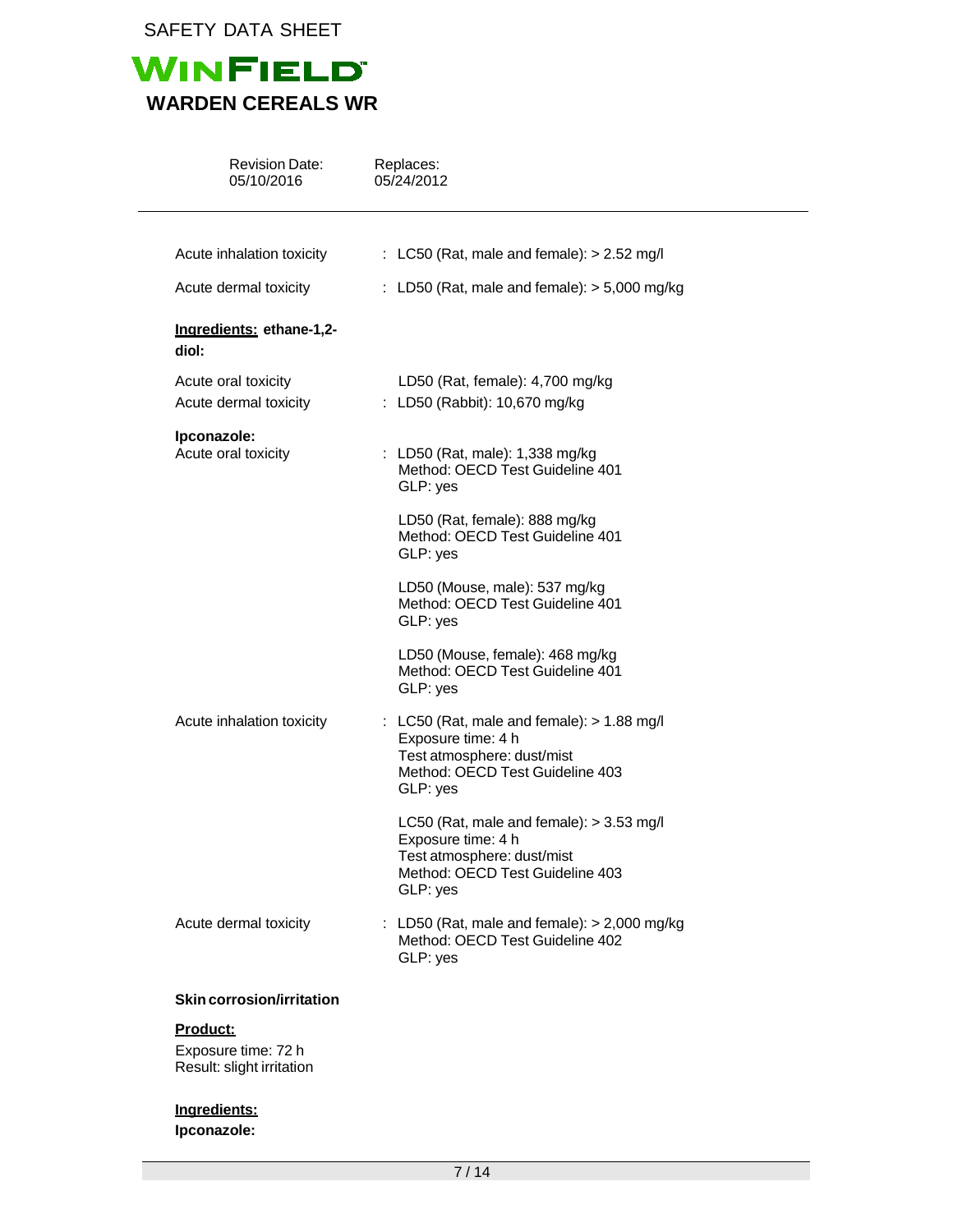

| <b>Revision Date:</b><br>05/10/2016          | Replaces:<br>05/24/2012                                                                                                                         |
|----------------------------------------------|-------------------------------------------------------------------------------------------------------------------------------------------------|
| Acute inhalation toxicity                    | : LC50 (Rat, male and female): $> 2.52$ mg/l                                                                                                    |
| Acute dermal toxicity                        | : LD50 (Rat, male and female): $>$ 5,000 mg/kg                                                                                                  |
| Ingredients: ethane-1,2-<br>diol:            |                                                                                                                                                 |
| Acute oral toxicity<br>Acute dermal toxicity | LD50 (Rat, female): 4,700 mg/kg<br>: LD50 (Rabbit): 10,670 mg/kg                                                                                |
| Ipconazole:<br>Acute oral toxicity           | : LD50 (Rat, male): 1,338 mg/kg<br>Method: OECD Test Guideline 401<br>GLP: yes                                                                  |
|                                              | LD50 (Rat, female): 888 mg/kg<br>Method: OECD Test Guideline 401<br>GLP: yes                                                                    |
|                                              | LD50 (Mouse, male): 537 mg/kg<br>Method: OECD Test Guideline 401<br>GLP: yes                                                                    |
|                                              | LD50 (Mouse, female): 468 mg/kg<br>Method: OECD Test Guideline 401<br>GLP: yes                                                                  |
| Acute inhalation toxicity                    | : LC50 (Rat, male and female): $> 1.88$ mg/l<br>Exposure time: 4 h<br>Test atmosphere: dust/mist<br>Method: OECD Test Guideline 403<br>GLP: yes |
|                                              | LC50 (Rat, male and female): $>$ 3.53 mg/l<br>Exposure time: 4 h<br>Test atmosphere: dust/mist<br>Method: OECD Test Guideline 403<br>GLP: yes   |
| Acute dermal toxicity                        | : LD50 (Rat, male and female): $> 2,000$ mg/kg<br>Method: OECD Test Guideline 402<br>GLP: yes                                                   |
| <b>Skin corrosion/irritation</b>             |                                                                                                                                                 |
| Product:                                     |                                                                                                                                                 |

Exposure time: 72 h Result: slight irritation

# **Ingredients:**

**Ipconazole:**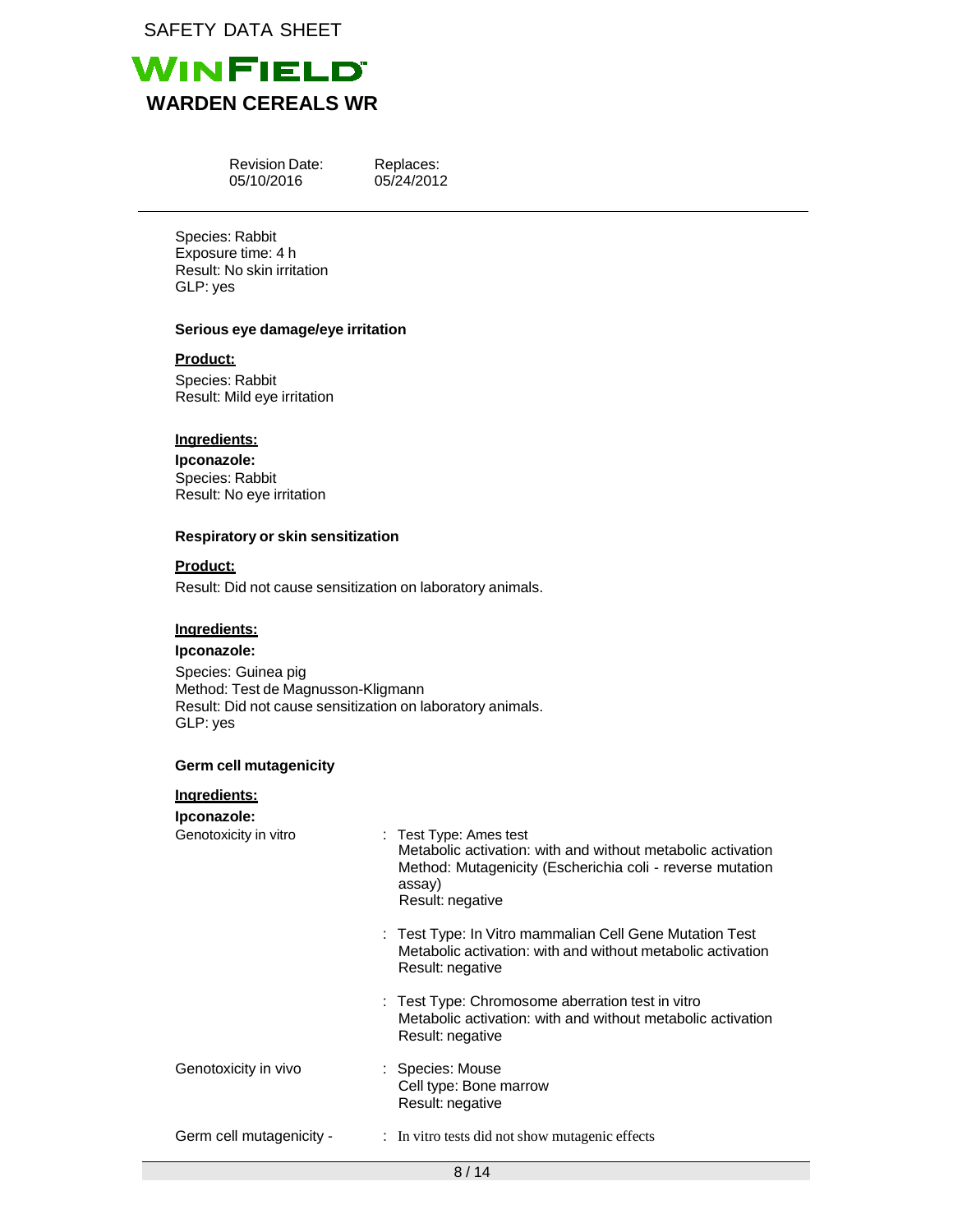

Revision Date: 05/10/2016

Replaces: 05/24/2012

Species: Rabbit Exposure time: 4 h Result: No skin irritation GLP: yes

### **Serious eye damage/eye irritation**

**Product:**

Species: Rabbit Result: Mild eye irritation

## **Ingredients:**

**Ipconazole:** Species: Rabbit Result: No eye irritation

### **Respiratory or skin sensitization**

#### **Product:**

Result: Did not cause sensitization on laboratory animals.

### **Ingredients:**

#### **Ipconazole:**

Species: Guinea pig Method: Test de Magnusson-Kligmann Result: Did not cause sensitization on laboratory animals. GLP: yes

### **Germ cell mutagenicity**

# **Ingredients:**

## **Ipconazole:**

| Genotoxicity in vitro    | : Test Type: Ames test<br>Metabolic activation: with and without metabolic activation<br>Method: Mutagenicity (Escherichia coli - reverse mutation<br>assay)<br>Result: negative |
|--------------------------|----------------------------------------------------------------------------------------------------------------------------------------------------------------------------------|
|                          | : Test Type: In Vitro mammalian Cell Gene Mutation Test<br>Metabolic activation: with and without metabolic activation<br>Result: negative                                       |
|                          | : Test Type: Chromosome aberration test in vitro<br>Metabolic activation: with and without metabolic activation<br>Result: negative                                              |
| Genotoxicity in vivo     | : Species: Mouse<br>Cell type: Bone marrow<br>Result: negative                                                                                                                   |
| Germ cell mutagenicity - | : In vitro tests did not show mutagenic effects                                                                                                                                  |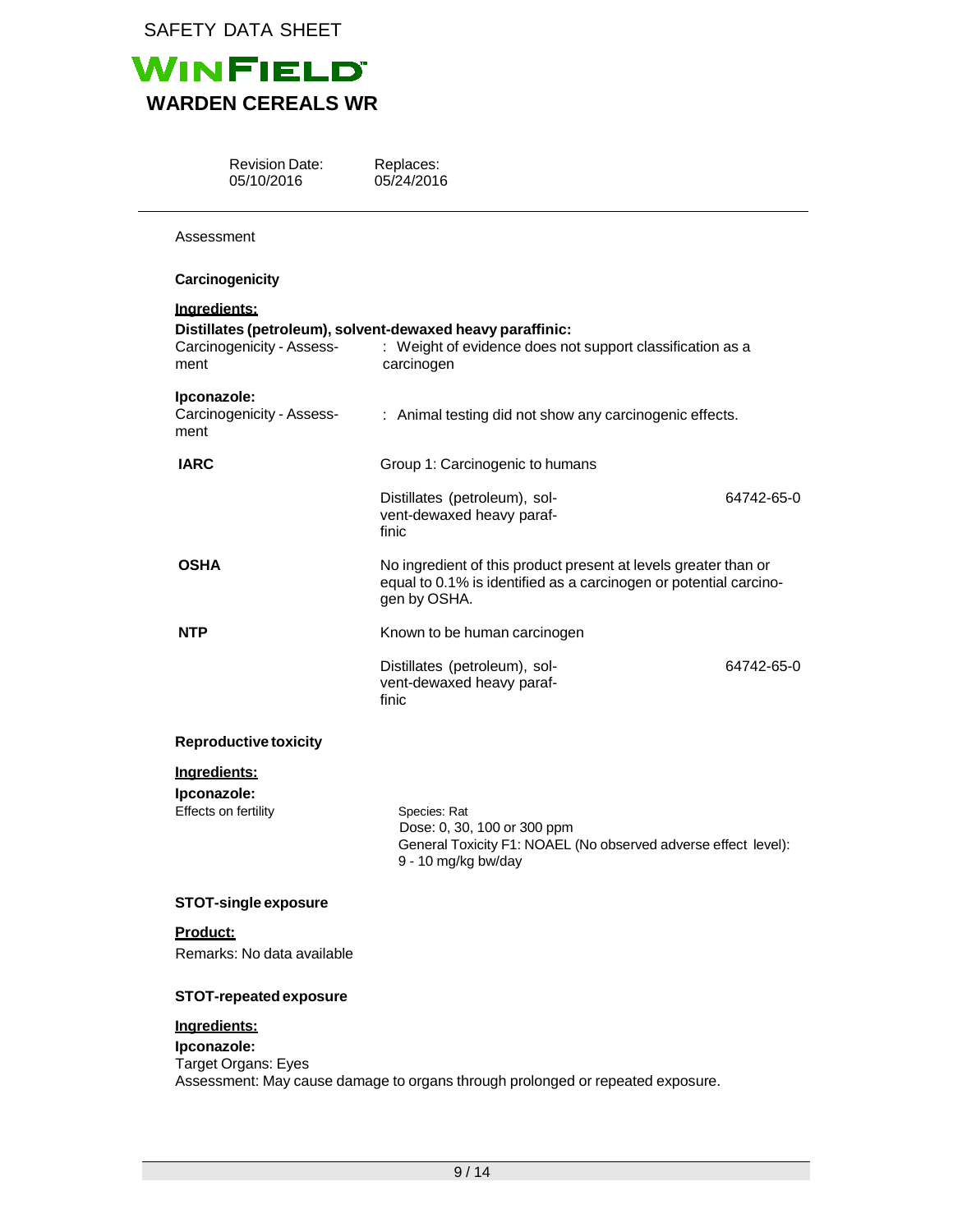

Revision Date: 05/10/2016

Replaces: 05/24/2016

| Assessment                                          |                                                                                                                                                      |            |
|-----------------------------------------------------|------------------------------------------------------------------------------------------------------------------------------------------------------|------------|
| Carcinogenicity                                     |                                                                                                                                                      |            |
| Ingredients:<br>Carcinogenicity - Assess-<br>ment   | Distillates (petroleum), solvent-dewaxed heavy paraffinic:<br>: Weight of evidence does not support classification as a<br>carcinogen                |            |
| Ipconazole:<br>Carcinogenicity - Assess-<br>ment    | : Animal testing did not show any carcinogenic effects.                                                                                              |            |
| <b>IARC</b>                                         | Group 1: Carcinogenic to humans                                                                                                                      |            |
|                                                     | Distillates (petroleum), sol-<br>vent-dewaxed heavy paraf-<br>finic                                                                                  | 64742-65-0 |
| OSHA                                                | No ingredient of this product present at levels greater than or<br>equal to 0.1% is identified as a carcinogen or potential carcino-<br>gen by OSHA. |            |
| <b>NTP</b>                                          | Known to be human carcinogen                                                                                                                         |            |
|                                                     | Distillates (petroleum), sol-<br>vent-dewaxed heavy paraf-<br>finic                                                                                  | 64742-65-0 |
| <b>Reproductive toxicity</b>                        |                                                                                                                                                      |            |
| Ingredients:<br>Ipconazole:<br>Effects on fertility | Species: Rat<br>Dose: 0, 30, 100 or 300 ppm<br>General Toxicity F1: NOAEL (No observed adverse effect level):<br>9 - 10 mg/kg bw/day                 |            |
| <b>STOT-single exposure</b>                         |                                                                                                                                                      |            |
| <u>Product:</u><br>Remarks: No data available       |                                                                                                                                                      |            |

# **STOT-repeatedexposure**

# **Ingredients:**

**Ipconazole:** Target Organs: Eyes Assessment: May cause damage to organs through prolonged or repeated exposure.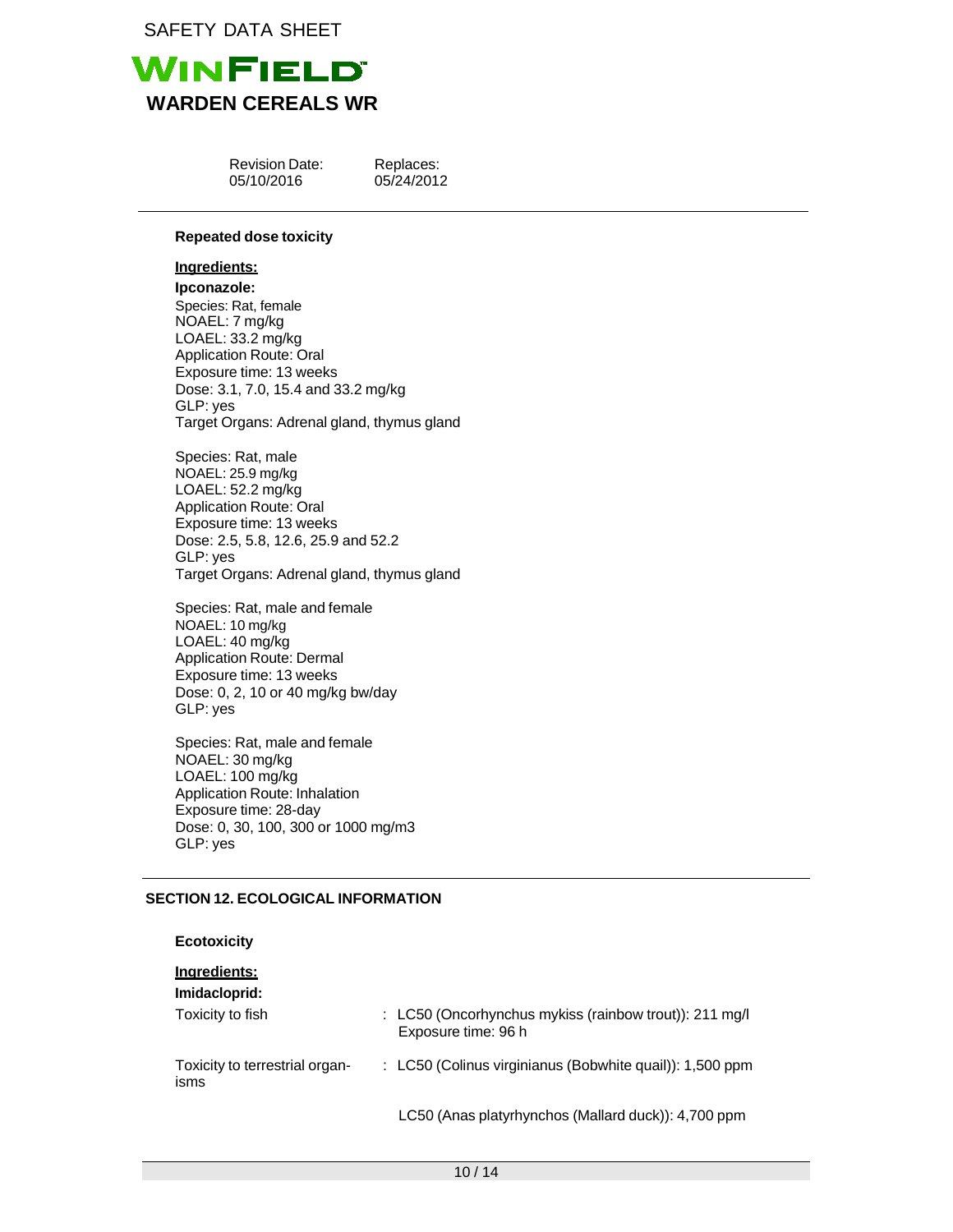

| <b>Revision Date:</b> |
|-----------------------|
| 05/10/2016            |

Replaces: 05/24/2012

# **Repeated dose toxicity**

### **Ingredients:**

**Ipconazole:** Species: Rat, female NOAEL: 7 mg/kg LOAEL: 33.2 mg/kg Application Route: Oral Exposure time: 13 weeks Dose: 3.1, 7.0, 15.4 and 33.2 mg/kg GLP: yes Target Organs: Adrenal gland, thymus gland

Species: Rat, male NOAEL: 25.9 mg/kg LOAEL: 52.2 mg/kg Application Route: Oral Exposure time: 13 weeks Dose: 2.5, 5.8, 12.6, 25.9 and 52.2 GLP: yes Target Organs: Adrenal gland, thymus gland

Species: Rat, male and female NOAEL: 10 mg/kg LOAEL: 40 mg/kg Application Route: Dermal Exposure time: 13 weeks Dose: 0, 2, 10 or 40 mg/kg bw/day GLP: yes

Species: Rat, male and female NOAEL: 30 mg/kg LOAEL: 100 mg/kg Application Route: Inhalation Exposure time: 28-day Dose: 0, 30, 100, 300 or 1000 mg/m3 GLP: yes

# **SECTION 12. ECOLOGICAL INFORMATION**

| <b>Ecotoxicity</b>                     |                                                                               |
|----------------------------------------|-------------------------------------------------------------------------------|
| Ingredients:<br>Imidacloprid:          |                                                                               |
| Toxicity to fish                       | : LC50 (Oncorhynchus mykiss (rainbow trout)): 211 mg/l<br>Exposure time: 96 h |
| Toxicity to terrestrial organ-<br>isms | : LC50 (Colinus virginianus (Bobwhite quail)): 1,500 ppm                      |
|                                        | LC50 (Anas platyrhynchos (Mallard duck)): 4,700 ppm                           |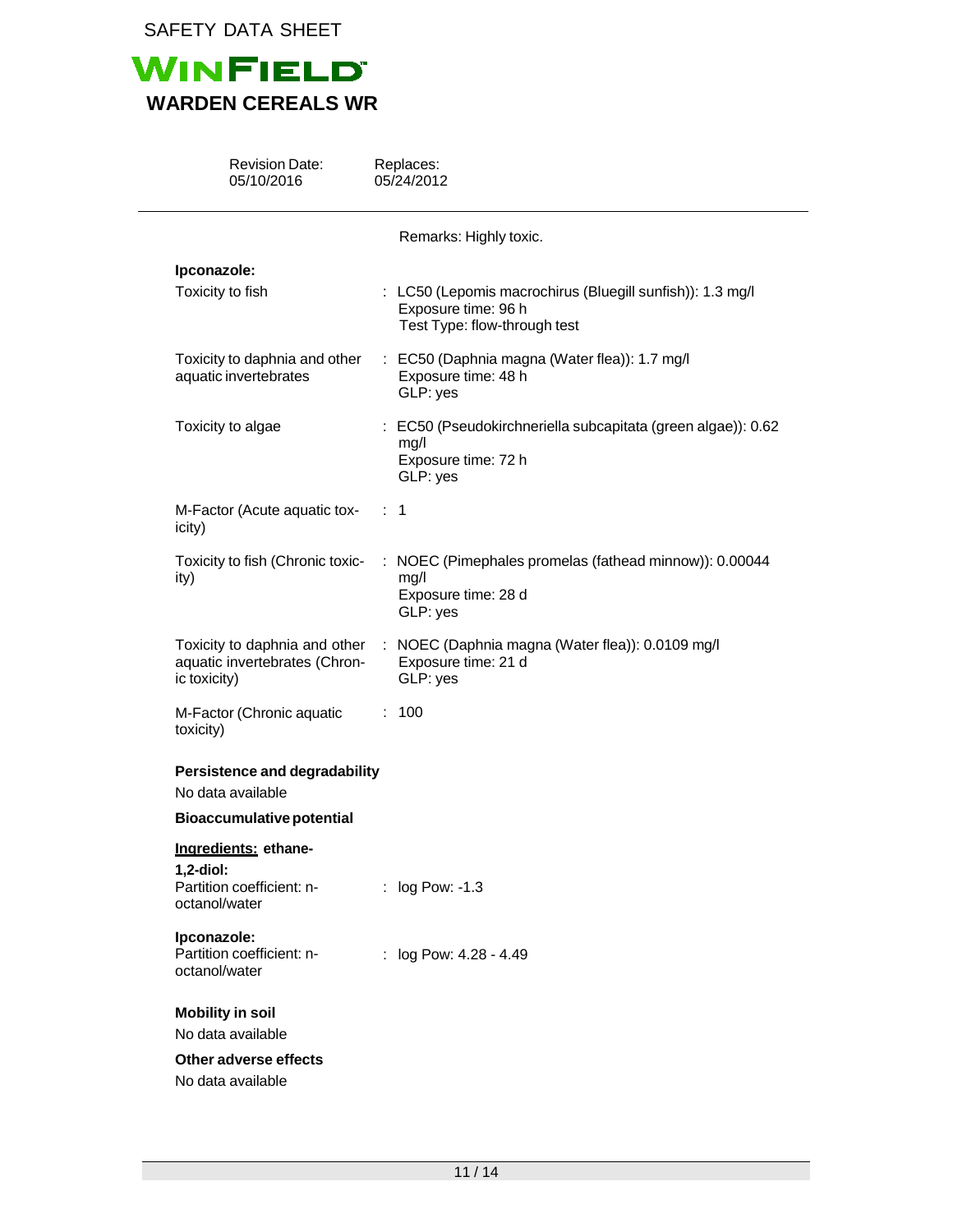

| <b>Revision Date:</b><br>05/10/2016                                            | Replaces:<br>05/24/2012                                                                                          |
|--------------------------------------------------------------------------------|------------------------------------------------------------------------------------------------------------------|
|                                                                                | Remarks: Highly toxic.                                                                                           |
| Ipconazole:                                                                    |                                                                                                                  |
| Toxicity to fish                                                               | : LC50 (Lepomis macrochirus (Bluegill sunfish)): 1.3 mg/l<br>Exposure time: 96 h<br>Test Type: flow-through test |
| Toxicity to daphnia and other<br>aquatic invertebrates                         | : EC50 (Daphnia magna (Water flea)): 1.7 mg/l<br>Exposure time: 48 h<br>GLP: yes                                 |
| Toxicity to algae                                                              | : EC50 (Pseudokirchneriella subcapitata (green algae)): 0.62<br>mg/l<br>Exposure time: 72 h<br>GLP: yes          |
| M-Factor (Acute aquatic tox-<br>icity)                                         | : 1                                                                                                              |
| Toxicity to fish (Chronic toxic-<br>ity)                                       | NOEC (Pimephales promelas (fathead minnow)): 0.00044<br>mg/l<br>Exposure time: 28 d<br>GLP: yes                  |
| Toxicity to daphnia and other<br>aquatic invertebrates (Chron-<br>ic toxicity) | : NOEC (Daphnia magna (Water flea)): 0.0109 mg/l<br>Exposure time: 21 d<br>GLP: yes                              |
| M-Factor (Chronic aquatic<br>toxicity)                                         | : 100                                                                                                            |
| Persistence and degradability<br>No data available                             |                                                                                                                  |
| <b>Bioaccumulative potential</b>                                               |                                                                                                                  |
| Ingredients: ethane-                                                           |                                                                                                                  |
| $1,2$ -diol:<br>Partition coefficient: n-<br>octanol/water                     | : log Pow: -1.3                                                                                                  |
| Ipconazole:<br>Partition coefficient: n-<br>octanol/water                      | : log Pow: 4.28 - 4.49                                                                                           |
| <b>Mobility in soil</b><br>No data available                                   |                                                                                                                  |
|                                                                                |                                                                                                                  |
| Other adverse effects<br>No data available                                     |                                                                                                                  |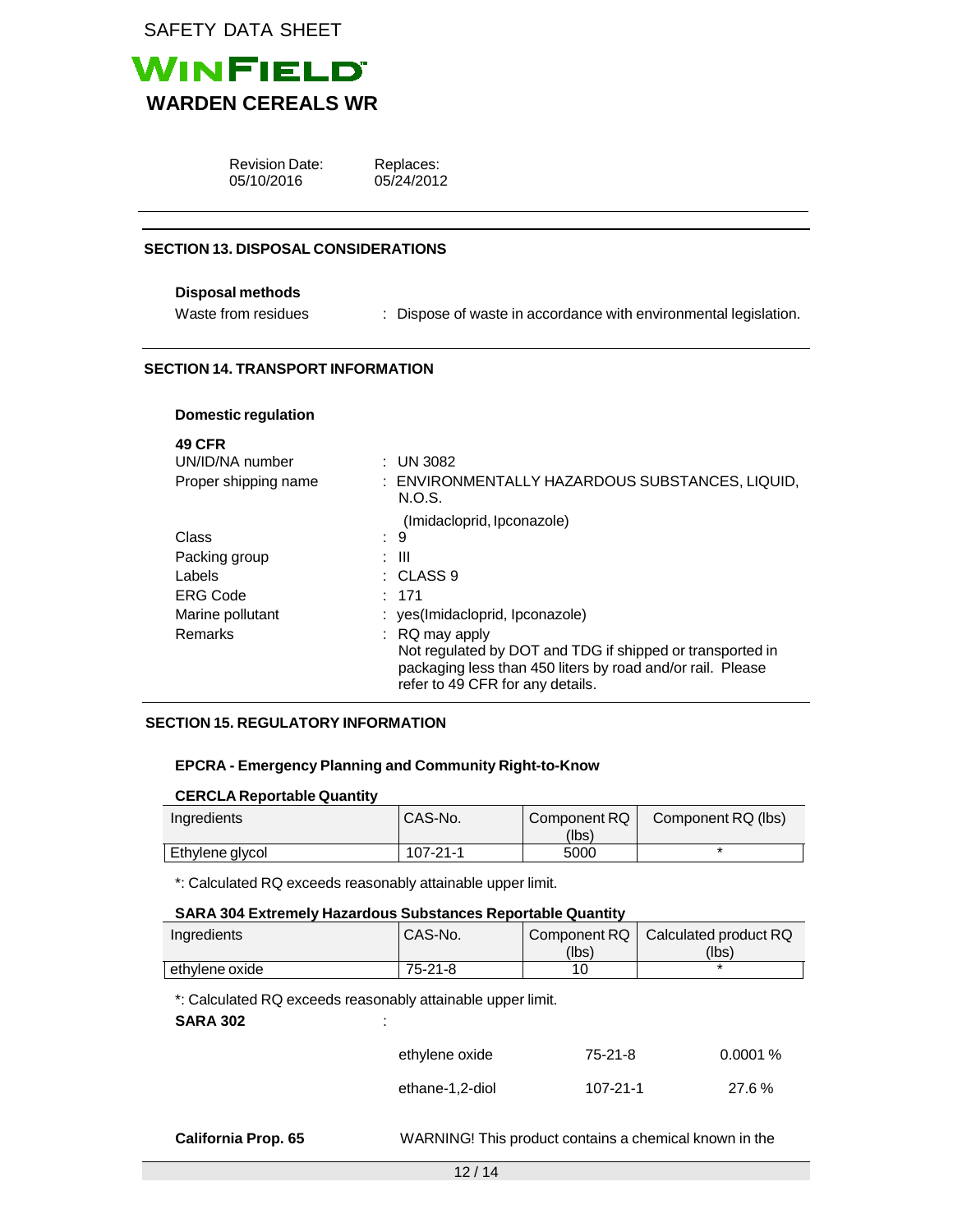

| <b>Revision Date:</b> |
|-----------------------|
| 05/10/2016            |

Replaces: 05/24/2012

### **SECTION 13. DISPOSAL CONSIDERATIONS**

### **Disposal methods**

Waste from residues : Dispose of waste in accordance with environmental legislation.

### **SECTION 14. TRANSPORT INFORMATION**

### **Domestic regulation**

| ×<br>۰, | M.<br>٠ |
|---------|---------|
|---------|---------|

| UN/ID/NA number      | : UN 3082                                                                                                                                                   |
|----------------------|-------------------------------------------------------------------------------------------------------------------------------------------------------------|
| Proper shipping name | : ENVIRONMENTALLY HAZARDOUS SUBSTANCES, LIQUID,<br>N.O.S.                                                                                                   |
|                      | (Imidacloprid, Ipconazole)                                                                                                                                  |
| Class                | : 9                                                                                                                                                         |
| Packing group        | : III                                                                                                                                                       |
| Labels               | $\therefore$ CLASS 9                                                                                                                                        |
| <b>ERG Code</b>      | : 171                                                                                                                                                       |
| Marine pollutant     | : yes(Imidacloprid, Ipconazole)                                                                                                                             |
| Remarks              | $\therefore$ RQ may apply                                                                                                                                   |
|                      | Not regulated by DOT and TDG if shipped or transported in<br>packaging less than 450 liters by road and/or rail. Please<br>refer to 49 CFR for any details. |

### **SECTION 15. REGULATORY INFORMATION**

### **EPCRA - Emergency Planning and Community Right-to-Know**

#### **CERCLA Reportable Quantity**

| Ingredients     | <b>ICAS-No.</b> | Component RQ | Component RQ (lbs) |
|-----------------|-----------------|--------------|--------------------|
|                 |                 | (Ibs)        |                    |
| Ethylene glycol | $107 - 21 - 1$  | 5000         |                    |

\*: Calculated RQ exceeds reasonably attainable upper limit.

### **SARA 304 Extremely Hazardous Substances Reportable Quantity**

| Ingredients    | CAS-No.   |                | Component RQ   Calculated product RQ |
|----------------|-----------|----------------|--------------------------------------|
|                |           | (Ibs)          | (Ibs)                                |
| ethylene oxide | $75-21-8$ | 1 <sup>c</sup> |                                      |

\*: Calculated RQ exceeds reasonably attainable upper limit.

### **SARA 302** :

| ethylene oxide  | 75-21-8  | $0.0001\%$ |
|-----------------|----------|------------|
| ethane-1,2-diol | 107-21-1 | 27.6%      |

**California Prop. 65** WARNING! This product contains a chemical known in the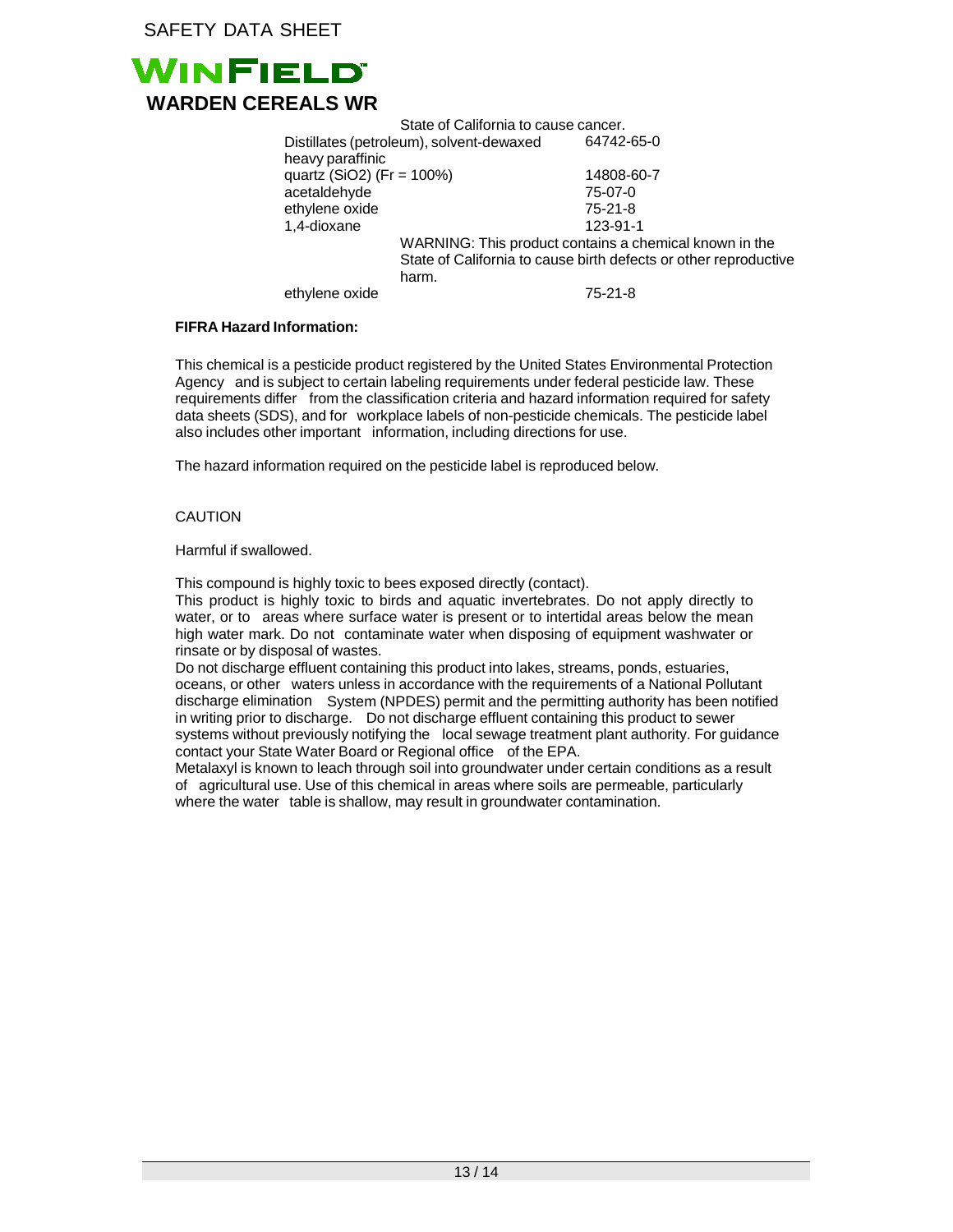

State of California to cause cancer. Distillates (petroleum), solvent-dewaxed heavy paraffinic 64742-65-0 quartz (SiO2) (Fr = 100%) 14808-60-7 acetaldehyde 75-07-0 ethylene oxide 75-21-8 1,4-dioxane 123-91-1 WARNING: This product contains a chemical known in the State of California to cause birth defects or other reproductive harm. ethylene oxide 75-21-8

### **FIFRA Hazard Information:**

This chemical is a pesticide product registered by the United States Environmental Protection Agency and is subject to certain labeling requirements under federal pesticide law. These requirements differ from the classification criteria and hazard information required for safety data sheets (SDS), and for workplace labels of non-pesticide chemicals. The pesticide label also includes other important information, including directions for use.

The hazard information required on the pesticide label is reproduced below.

### CAUTION

Harmful if swallowed.

This compound is highly toxic to bees exposed directly (contact).

This product is highly toxic to birds and aquatic invertebrates. Do not apply directly to water, or to areas where surface water is present or to intertidal areas below the mean high water mark. Do not contaminate water when disposing of equipment washwater or rinsate or by disposal of wastes.

Do not discharge effluent containing this product into lakes, streams, ponds, estuaries, oceans, or other waters unless in accordance with the requirements of a National Pollutant discharge elimination System (NPDES) permit and the permitting authority has been notified in writing prior to discharge. Do not discharge effluent containing this product to sewer systems without previously notifying the local sewage treatment plant authority. For guidance contact your State Water Board or Regional office of the EPA.

Metalaxyl is known to leach through soil into groundwater under certain conditions as a result of agricultural use. Use of this chemical in areas where soils are permeable, particularly where the water table is shallow, may result in groundwater contamination.